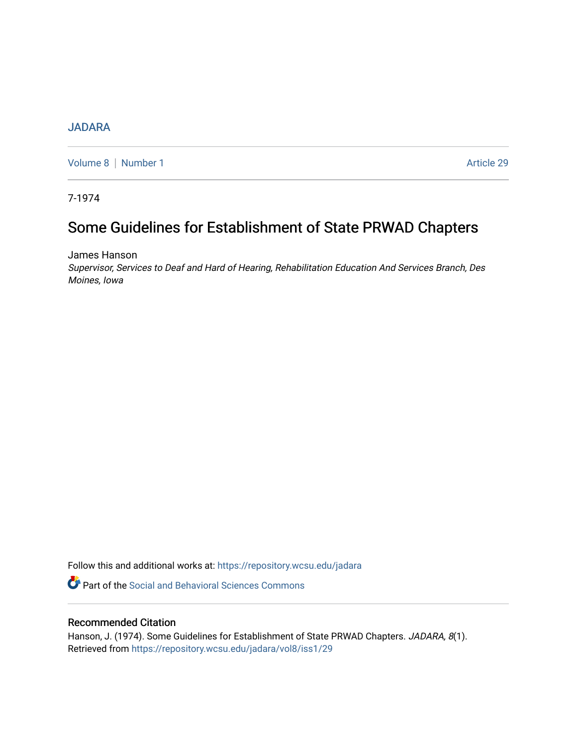## [JADARA](https://repository.wcsu.edu/jadara)

[Volume 8](https://repository.wcsu.edu/jadara/vol8) | [Number 1](https://repository.wcsu.edu/jadara/vol8/iss1) Article 29

7-1974

# Some Guidelines for Establishment of State PRWAD Chapters

James Hanson

Supervisor, Services to Deaf and Hard of Hearing, Rehabilitation Education And Services Branch, Des Moines, Iowa

Follow this and additional works at: [https://repository.wcsu.edu/jadara](https://repository.wcsu.edu/jadara?utm_source=repository.wcsu.edu%2Fjadara%2Fvol8%2Fiss1%2F29&utm_medium=PDF&utm_campaign=PDFCoverPages)

**Part of the Social and Behavioral Sciences Commons** 

### Recommended Citation

Hanson, J. (1974). Some Guidelines for Establishment of State PRWAD Chapters. JADARA, 8(1). Retrieved from [https://repository.wcsu.edu/jadara/vol8/iss1/29](https://repository.wcsu.edu/jadara/vol8/iss1/29?utm_source=repository.wcsu.edu%2Fjadara%2Fvol8%2Fiss1%2F29&utm_medium=PDF&utm_campaign=PDFCoverPages)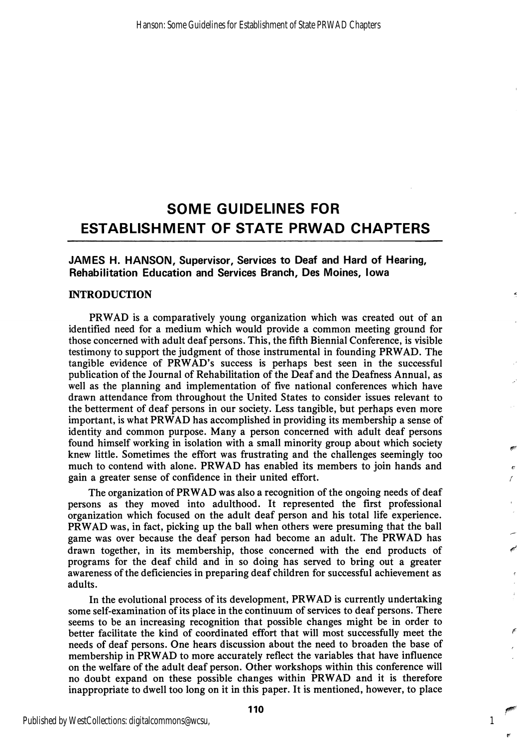## SOME GUIDELINES FOR ESTABLISHMENT OF STATE PRWAD CHAPTERS

JAMES H. HANSON, Supervisor, Services to Deaf and Hard of Hearing, Rehabilitation Education and Services Branch, Des Moines, Iowa

#### INTRODUCTION

PRWAD is a comparatively young organization which was created out of an identified need for a medium which would provide a common meeting ground for those concerned with adult deaf persons. This, the fifth Biennial Conference, is visible testimony to support the judgment of those instrumental in founding PRWAD. The tangible evidence of PRWAD's success is perhaps best seen in the successful publication of the Journal of Rehabilitation of the Deaf and the Deafness Annual, as well as the planning and implementation of five national conferences which have drawn attendance from throughout the United States to consider issues relevant to the betterment of deaf persons in our society. Less tangible, but perhaps even more important, is what PRWAD has accomplished in providing its membership a sense of identity and common purpose. Many a person concerned with adult deaf persons found himself working in isolation with a small minority group about which society knew little. Sometimes the effort was frustrating and the challenges seemingly too much to contend with alone. PRWAD has enabled its members to join hands and gain a greater sense of confidence in their united effort.

The organization of PRWAD was also a recognition of the ongoing needs of deaf persons as they moved into adulthood. It represented the first professional organization which focused on the adult deaf person and his total life experience. PRWAD was, in fact, picking up the ball when others were presuming that the ball game was over because the deaf person had become an adult. The PRWAD has drawn together, in its membership, those concerned with the end products of programs for the deaf child and in so doing has served to bring out a greater awareness of the deficiencies in preparing deaf children for successful achievement as adults.

In the evolutional process of its development, PRWAD is currently undertaking some self-examination of its place in the continuum of services to deaf persons. There seems to be an increasing recognition that possible changes might be in order to better facilitate the kind of coordinated effort that will most successfully meet the needs of deaf persons. One hears discussion about the need to broaden the base of membership in PRWAD to more accurately reflect the variables that have influence on the welfare of the adult deaf person. Other workshops within this conference will no doubt expand on these possible changes within PRWAD and it is therefore inappropriate to dwell too long on it in this paper. It is mentioned, however, to place

1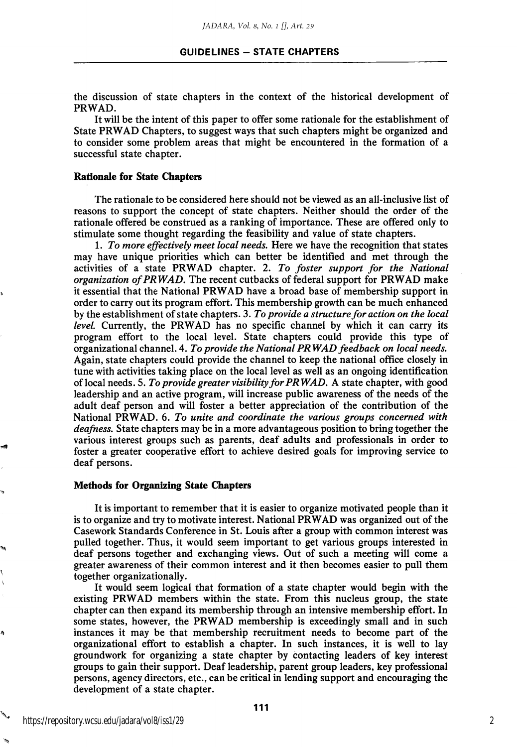the discussion of state chapters in the context of the historical development of PRWAD.

It will be the intent of this paper to offer some rationale for the establishment of State PRWAD Chapters, to suggest ways that such chapters might be organized and to consider some problem areas that might be encountered in the formation of a successful state chapter.

#### Rationale for State Chapters

The rationale to be considered here should not be viewed as an all-inclusive list of reasons to support the concept of state chapters. Neither should the order of the rationale offered be construed as a ranking of importance. These are offered only to stimulate some thought regarding the feasibility and value of state chapters.

1. To more effectively meet local needs. Here we have the recognition that states may have unique priorities which can better be identified and met through the activities of a state PRWAD chapter. 2. To foster support for the National organization of PRWAD. The recent cutbacks of federal support for PRWAD make it essential that the National PRWAD have a broad base of membership support in order to carry out its program effort. This membership growth can be much enhanced by the establishment of state chapters. 3. To provide a structure for action on the local level. Currently, the PRWAD has no specific channel by which it can carry its program effort to the local level. State chapters could provide this type of organizational channel. A, To provide the National PRWAD feedback on local needs. Again, state chapters could provide the channel to keep the national office closely in tune with activities taking place on the local level as well as an ongoing identification of local needs. 5. To provide greater visibility for PRWAD, A state chapter, with good leadership and an active program, will increase public awareness of the needs of the adult deaf person and will foster a better appreciation of the contribution of the National PRWAD. 6. To unite and coordinate the various groups concerned with deafness. State chapters may be in a more advantageous position to bring together the various interest groups such as parents, deaf adults and professionals in order to foster a greater cooperative effort to achieve desired goals for improving service to deaf persons.

#### Methods for Organizing State Chapters

It is important to remember that it is easier to organize motivated people than it is to organize and try to motivate interest. National PRWAD was organized out of the Casework Standards Conference in St. Louis after a group with common interest was pulled together. Thus, it would seem important to get various groups interested in deaf persons together and exchanging views. Out of such a meeting will come a greater awareness of their common interest and it then becomes easier to pull them together organizationally.

It would seem logical that formation of a state chapter would begin with the existing PRWAD members within the state. From this nucleus group, the state chapter can then expand its membership through an intensive membership effort. In some states, however, the PRWAD membership is exceedingly small and in such instances it may be that membership recruitment needs to become part of the organizational effort to establish a chapter. In such instances, it is well to lay groundwork for organizing a state chapter by contacting leaders of key interest groups to gain their support. Deaf leadership, parent group leaders, key professional persons, agency directors, etc., can be critical in lending support and encouraging the development of a state chapter.